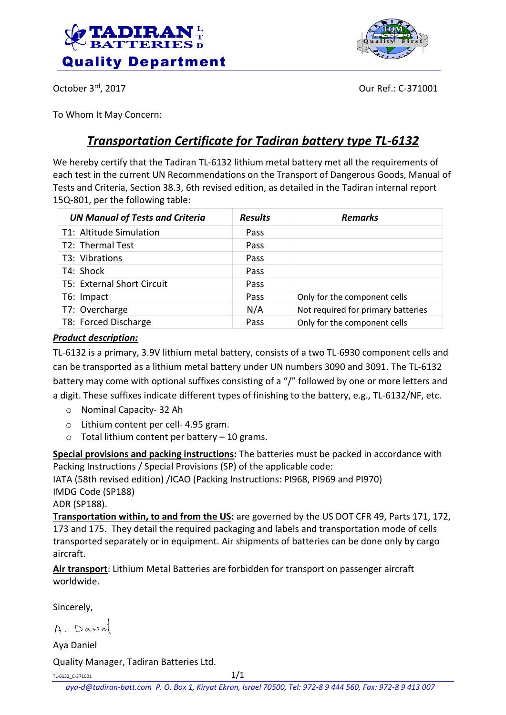



October 3rd, 2017

Our Ref.: C-371001

To Whom It May Concern:

# *Transportation Certificate for Tadiran battery type TL-6132*

We hereby certify that the Tadiran TL-6132 lithium metal battery met all the requirements of each test in the current UN Recommendations on the Transport of Dangerous Goods, Manual of Tests and Criteria, Section 38.3, 6th revised edition, as detailed in the Tadiran internal report 15Q-801, per the following table:

| <b>UN Manual of Tests and Criteria</b> | <b>Results</b> | <b>Remarks</b>                     |
|----------------------------------------|----------------|------------------------------------|
| T1: Altitude Simulation                | Pass           |                                    |
| T2: Thermal Test                       | Pass           |                                    |
| T3: Vibrations                         | Pass           |                                    |
| T4: Shock                              | Pass           |                                    |
| T5: External Short Circuit             | Pass           |                                    |
| T6: Impact                             | Pass           | Only for the component cells       |
| T7: Overcharge                         | N/A            | Not required for primary batteries |
| T8: Forced Discharge                   | Pass           | Only for the component cells       |

### *Product description:*

TL-6132 is a primary, 3.9V lithium metal battery, consists of a two TL-6930 component cells and can be transported as a lithium metal battery under UN numbers 3090 and 3091. The TL-6132 battery may come with optional suffixes consisting of a "/" followed by one or more letters and a digit. These suffixes indicate different types of finishing to the battery, e.g., TL-6132/NF, etc.

- o Nominal Capacity- 32 Ah
- o Lithium content per cell- 4.95 gram.
- $\circ$  Total lithium content per battery 10 grams.

**Special provisions and packing instructions:** The batteries must be packed in accordance with Packing Instructions / Special Provisions (SP) of the applicable code:

IATA (58th revised edition) /ICAO (Packing Instructions: PI968, PI969 and PI970) IMDG Code (SP188)

ADR (SP188).

**Transportation within, to and from the US:** are governed by the US DOT CFR 49, Parts 171, 172, 173 and 175. They detail the required packaging and labels and transportation mode of cells transported separately or in equipment. Air shipments of batteries can be done only by cargo aircraft.

**Air transport**: Lithium Metal Batteries are forbidden for transport on passenger aircraft worldwide.

Sincerely,

A. Danie

Aya Daniel

Quality Manager, Tadiran Batteries Ltd.

TL-6132 C-371001  $1/1$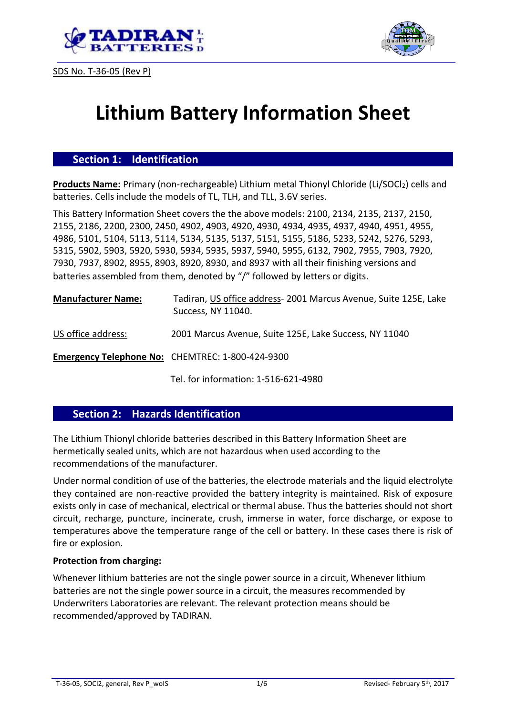





# **Lithium Battery Information Sheet**

## **Section 1: Identification**

Products Name: Primary (non-rechargeable) Lithium metal Thionyl Chloride (Li/SOCl<sub>2</sub>) cells and batteries. Cells include the models of TL, TLH, and TLL, 3.6V series.

This Battery Information Sheet covers the the above models: 2100, 2134, 2135, 2137, 2150, 2155, 2186, 2200, 2300, 2450, 4902, 4903, 4920, 4930, 4934, 4935, 4937, 4940, 4951, 4955, 4986, 5101, 5104, 5113, 5114, 5134, 5135, 5137, 5151, 5155, 5186, 5233, 5242, 5276, 5293, 5315, 5902, 5903, 5920, 5930, 5934, 5935, 5937, 5940, 5955, 6132, 7902, 7955, 7903, 7920, 7930, 7937, 8902, 8955, 8903, 8920, 8930, and 8937 with all their finishing versions and batteries assembled from them, denoted by "/" followed by letters or digits.

| <b>Manufacturer Name:</b> | Tadiran, US office address-2001 Marcus Avenue, Suite 125E, Lake<br>Success, NY 11040. |
|---------------------------|---------------------------------------------------------------------------------------|
| US office address:        | 2001 Marcus Avenue, Suite 125E, Lake Success, NY 11040                                |
|                           | Emergency Telephone No: CHEMTREC: 1-800-424-9300                                      |

Tel. for information: 1-516-621-4980

### **Section 2: Hazards Identification**

The Lithium Thionyl chloride batteries described in this Battery Information Sheet are hermetically sealed units, which are not hazardous when used according to the recommendations of the manufacturer.

Under normal condition of use of the batteries, the electrode materials and the liquid electrolyte they contained are non-reactive provided the battery integrity is maintained. Risk of exposure exists only in case of mechanical, electrical or thermal abuse. Thus the batteries should not short circuit, recharge, puncture, incinerate, crush, immerse in water, force discharge, or expose to temperatures above the temperature range of the cell or battery. In these cases there is risk of fire or explosion.

#### **Protection from charging:**

Whenever lithium batteries are not the single power source in a circuit, Whenever lithium batteries are not the single power source in a circuit, the measures recommended by Underwriters Laboratories are relevant. The relevant protection means should be recommended/approved by TADIRAN.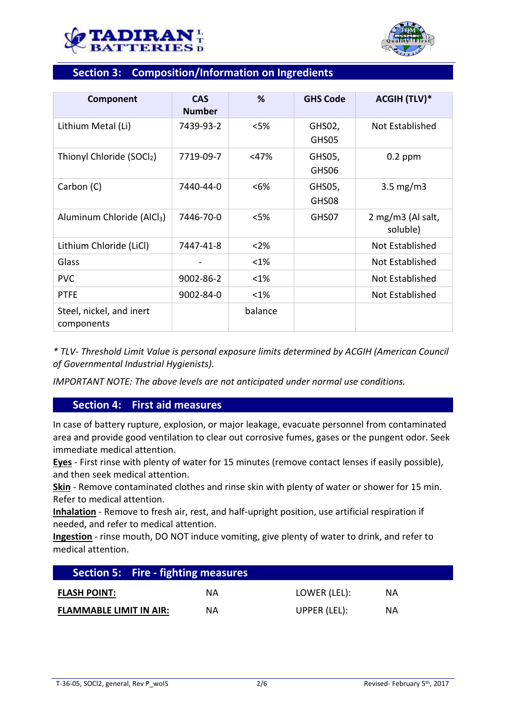



## **Section 3: Composition/Information on Ingredients**

| Component                              | <b>CAS</b><br><b>Number</b> | %       | <b>GHS Code</b> | <b>ACGIH (TLV)*</b>           |
|----------------------------------------|-----------------------------|---------|-----------------|-------------------------------|
| Lithium Metal (Li)                     | 7439-93-2                   | < 5%    | GHS02,<br>GHS05 | Not Established               |
| Thionyl Chloride (SOCl2)               | 7719-09-7                   | $<$ 47% | GHS05,<br>GHS06 | $0.2$ ppm                     |
| Carbon (C)                             | 7440-44-0                   | $< 6\%$ | GHS05,<br>GHS08 | $3.5 \text{ mg/m}$            |
| Aluminum Chloride (AlCl <sub>3</sub> ) | 7446-70-0                   | < 5%    | GHS07           | 2 mg/m3 (Al salt,<br>soluble) |
| Lithium Chloride (LiCl)                | 7447-41-8                   | $<$ 2%  |                 | <b>Not Established</b>        |
| Glass                                  |                             | <1%     |                 | Not Established               |
| <b>PVC</b>                             | 9002-86-2                   | <1%     |                 | Not Established               |
| <b>PTFE</b>                            | 9002-84-0                   | <1%     |                 | Not Established               |
| Steel, nickel, and inert<br>components |                             | balance |                 |                               |

*\* TLV- Threshold Limit Value is personal exposure limits determined by ACGIH (American Council of Governmental Industrial Hygienists).*

*IMPORTANT NOTE: The above levels are not anticipated under normal use conditions.*

## **Section 4: First aid measures**

In case of battery rupture, explosion, or major leakage, evacuate personnel from contaminated area and provide good ventilation to clear out corrosive fumes, gases or the pungent odor. Seek immediate medical attention.

**Eyes** - First rinse with plenty of water for 15 minutes (remove contact lenses if easily possible), and then seek medical attention.

**Skin** - Remove contaminated clothes and rinse skin with plenty of water or shower for 15 min. Refer to medical attention.

**Inhalation** - Remove to fresh air, rest, and half-upright position, use artificial respiration if needed, and refer to medical attention.

**Ingestion** - rinse mouth, DO NOT induce vomiting, give plenty of water to drink, and refer to medical attention.

| <b>Section 5: Fire - fighting measures</b> |    |              |           |  |
|--------------------------------------------|----|--------------|-----------|--|
| <b>FLASH POINT:</b>                        | ΝA | LOWER (LEL): | ΝA        |  |
| <b>FLAMMABLE LIMIT IN AIR:</b>             | ΝA | UPPER (LEL): | <b>NA</b> |  |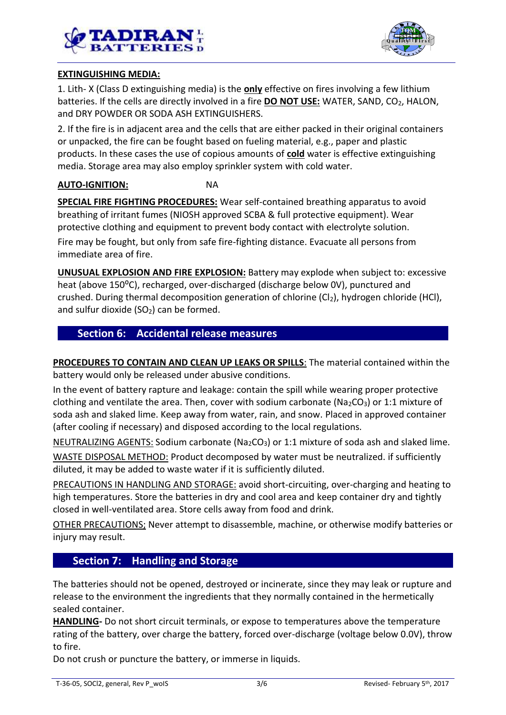



## **EXTINGUISHING MEDIA:**

1. Lith- X (Class D extinguishing media) is the **only** effective on fires involving a few lithium batteries. If the cells are directly involved in a fire **DO NOT USE:** WATER, SAND, CO<sub>2</sub>, HALON, and DRY POWDER OR SODA ASH EXTINGUISHERS.

2. If the fire is in adjacent area and the cells that are either packed in their original containers or unpacked, the fire can be fought based on fueling material, e.g., paper and plastic products. In these cases the use of copious amounts of **cold** water is effective extinguishing media. Storage area may also employ sprinkler system with cold water.

## **AUTO-IGNITION:** NA

**SPECIAL FIRE FIGHTING PROCEDURES:** Wear self-contained breathing apparatus to avoid breathing of irritant fumes (NIOSH approved SCBA & full protective equipment). Wear protective clothing and equipment to prevent body contact with electrolyte solution.

Fire may be fought, but only from safe fire-fighting distance. Evacuate all persons from immediate area of fire.

**UNUSUAL EXPLOSION AND FIRE EXPLOSION:** Battery may explode when subject to: excessive heat (above 150<sup>o</sup>C), recharged, over-discharged (discharge below 0V), punctured and crushed. During thermal decomposition generation of chlorine  $(Cl<sub>2</sub>)$ , hydrogen chloride (HCl), and sulfur dioxide  $(SO<sub>2</sub>)$  can be formed.

## **Section 6: Accidental release measures**

**PROCEDURES TO CONTAIN AND CLEAN UP LEAKS OR SPILLS**: The material contained within the battery would only be released under abusive conditions.

In the event of battery rapture and leakage: contain the spill while wearing proper protective clothing and ventilate the area. Then, cover with sodium carbonate ( $Na<sub>2</sub>CO<sub>3</sub>$ ) or 1:1 mixture of soda ash and slaked lime. Keep away from water, rain, and snow. Placed in approved container (after cooling if necessary) and disposed according to the local regulations.

NEUTRALIZING AGENTS: Sodium carbonate (Na<sub>2</sub>CO<sub>3</sub>) or 1:1 mixture of soda ash and slaked lime.

WASTE DISPOSAL METHOD: Product decomposed by water must be neutralized. if sufficiently diluted, it may be added to waste water if it is sufficiently diluted.

PRECAUTIONS IN HANDLING AND STORAGE: avoid short-circuiting, over-charging and heating to high temperatures. Store the batteries in dry and cool area and keep container dry and tightly closed in well-ventilated area. Store cells away from food and drink.

OTHER PRECAUTIONS; Never attempt to disassemble, machine, or otherwise modify batteries or injury may result.

## **Section 7: Handling and Storage**

The batteries should not be opened, destroyed or incinerate, since they may leak or rupture and release to the environment the ingredients that they normally contained in the hermetically sealed container.

**HANDLING-** Do not short circuit terminals, or expose to temperatures above the temperature rating of the battery, over charge the battery, forced over-discharge (voltage below 0.0V), throw to fire.

Do not crush or puncture the battery, or immerse in liquids.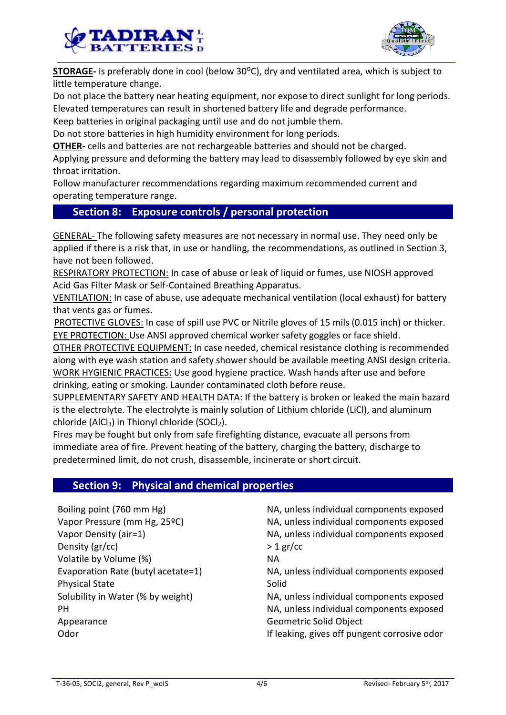



**STORAGE-** is preferably done in cool (below 30<sup>o</sup>C), dry and ventilated area, which is subject to little temperature change.

Do not place the battery near heating equipment, nor expose to direct sunlight for long periods. Elevated temperatures can result in shortened battery life and degrade performance.

Keep batteries in original packaging until use and do not jumble them.

Do not store batteries in high humidity environment for long periods.

**OTHER-** cells and batteries are not rechargeable batteries and should not be charged.

Applying pressure and deforming the battery may lead to disassembly followed by eye skin and throat irritation.

Follow manufacturer recommendations regarding maximum recommended current and operating temperature range.

## **Section 8: Exposure controls / personal protection**

GENERAL- The following safety measures are not necessary in normal use. They need only be applied if there is a risk that, in use or handling, the recommendations, as outlined in Section 3, have not been followed.

RESPIRATORY PROTECTION: In case of abuse or leak of liquid or fumes, use NIOSH approved Acid Gas Filter Mask or Self-Contained Breathing Apparatus.

VENTILATION: In case of abuse, use adequate mechanical ventilation (local exhaust) for battery that vents gas or fumes.

PROTECTIVE GLOVES: In case of spill use PVC or Nitrile gloves of 15 mils (0.015 inch) or thicker. **EYE PROTECTION: Use ANSI approved chemical worker safety goggles or face shield.** 

OTHER PROTECTIVE EQUIPMENT: In case needed, chemical resistance clothing is recommended along with eye wash station and safety shower should be available meeting ANSI design criteria. WORK HYGIENIC PRACTICES: Use good hygiene practice. Wash hands after use and before drinking, eating or smoking. Launder contaminated cloth before reuse.

SUPPLEMENTARY SAFETY AND HEALTH DATA: If the battery is broken or leaked the main hazard is the electrolyte. The electrolyte is mainly solution of Lithium chloride (LiCl), and aluminum chloride (AlCl3) in Thionyl chloride (SOCl2).

Fires may be fought but only from safe firefighting distance, evacuate all persons from immediate area of fire. Prevent heating of the battery, charging the battery, discharge to predetermined limit, do not crush, disassemble, incinerate or short circuit.

## **Section 9: Physical and chemical properties**

| Boiling point (760 mm Hg)          | NA, unless individual components exposed     |
|------------------------------------|----------------------------------------------|
| Vapor Pressure (mm Hg, 25°C)       | NA, unless individual components exposed     |
| Vapor Density (air=1)              | NA, unless individual components exposed     |
| Density (gr/cc)                    | $>1$ gr/cc                                   |
| Volatile by Volume (%)             | <b>NA</b>                                    |
| Evaporation Rate (butyl acetate=1) | NA, unless individual components exposed     |
| <b>Physical State</b>              | Solid                                        |
| Solubility in Water (% by weight)  | NA, unless individual components exposed     |
| PН                                 | NA, unless individual components exposed     |
| Appearance                         | Geometric Solid Object                       |
| Odor                               | If leaking, gives off pungent corrosive odor |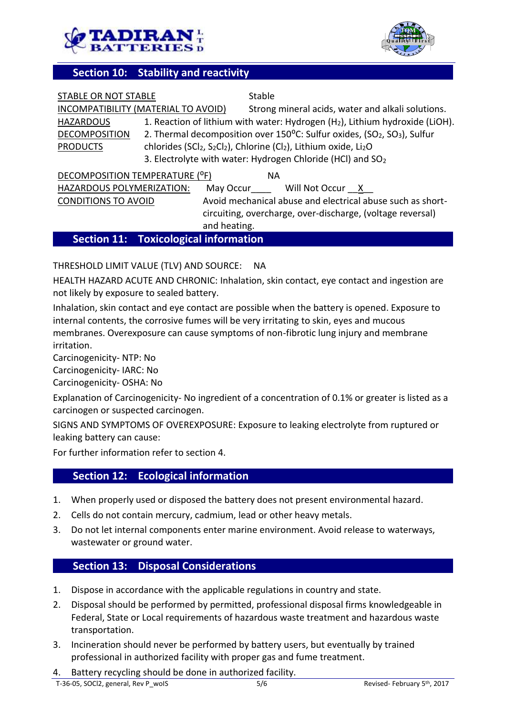



## **Section 10: Stability and reactivity**

| STABLE OR NOT STABLE                |                                        | Stable       |                                                                                                                               |                                                                                                  |
|-------------------------------------|----------------------------------------|--------------|-------------------------------------------------------------------------------------------------------------------------------|--------------------------------------------------------------------------------------------------|
| INCOMPATIBILITY (MATERIAL TO AVOID) |                                        |              |                                                                                                                               | Strong mineral acids, water and alkali solutions.                                                |
| <b>HAZARDOUS</b>                    |                                        |              |                                                                                                                               | 1. Reaction of lithium with water: Hydrogen (H <sub>2</sub> ), Lithium hydroxide (LiOH).         |
| <b>DECOMPOSITION</b>                |                                        |              |                                                                                                                               | 2. Thermal decomposition over 150°C: Sulfur oxides, (SO <sub>2</sub> , SO <sub>3</sub> ), Sulfur |
| <b>PRODUCTS</b>                     |                                        |              | chlorides (SCl <sub>2</sub> , S <sub>2</sub> Cl <sub>2</sub> ), Chlorine (Cl <sub>2</sub> ), Lithium oxide, Li <sub>2</sub> O |                                                                                                  |
|                                     |                                        |              | 3. Electrolyte with water: Hydrogen Chloride (HCl) and SO <sub>2</sub>                                                        |                                                                                                  |
| DECOMPOSITION TEMPERATURE (°F)      |                                        | <b>NA</b>    |                                                                                                                               |                                                                                                  |
| HAZARDOUS POLYMERIZATION:           |                                        | May Occur    | Will Not Occur X                                                                                                              |                                                                                                  |
| <b>CONDITIONS TO AVOID</b>          |                                        |              |                                                                                                                               | Avoid mechanical abuse and electrical abuse such as short-                                       |
|                                     |                                        |              |                                                                                                                               | circuiting, overcharge, over-discharge, (voltage reversal)                                       |
|                                     |                                        | and heating. |                                                                                                                               |                                                                                                  |
|                                     | Caption 44, Tantas lantas Lufamoration |              |                                                                                                                               |                                                                                                  |

## **Section 11: Toxicological information**

### THRESHOLD LIMIT VALUE (TLV) AND SOURCE: NA

HEALTH HAZARD ACUTE AND CHRONIC: Inhalation, skin contact, eye contact and ingestion are not likely by exposure to sealed battery.

Inhalation, skin contact and eye contact are possible when the battery is opened. Exposure to internal contents, the corrosive fumes will be very irritating to skin, eyes and mucous membranes. Overexposure can cause symptoms of non-fibrotic lung injury and membrane irritation.

Carcinogenicity- NTP: No

Carcinogenicity- IARC: No

Carcinogenicity- OSHA: No

Explanation of Carcinogenicity- No ingredient of a concentration of 0.1% or greater is listed as a carcinogen or suspected carcinogen.

SIGNS AND SYMPTOMS OF OVEREXPOSURE: Exposure to leaking electrolyte from ruptured or leaking battery can cause:

For further information refer to section 4.

## **Section 12: Ecological information**

- 1. When properly used or disposed the battery does not present environmental hazard.
- 2. Cells do not contain mercury, cadmium, lead or other heavy metals.
- 3. Do not let internal components enter marine environment. Avoid release to waterways, wastewater or ground water.

## **Section 13: Disposal Considerations**

- 1. Dispose in accordance with the applicable regulations in country and state.
- 2. Disposal should be performed by permitted, professional disposal firms knowledgeable in Federal, State or Local requirements of hazardous waste treatment and hazardous waste transportation.
- 3. Incineration should never be performed by battery users, but eventually by trained professional in authorized facility with proper gas and fume treatment.
- 4. Battery recycling should be done in authorized facility.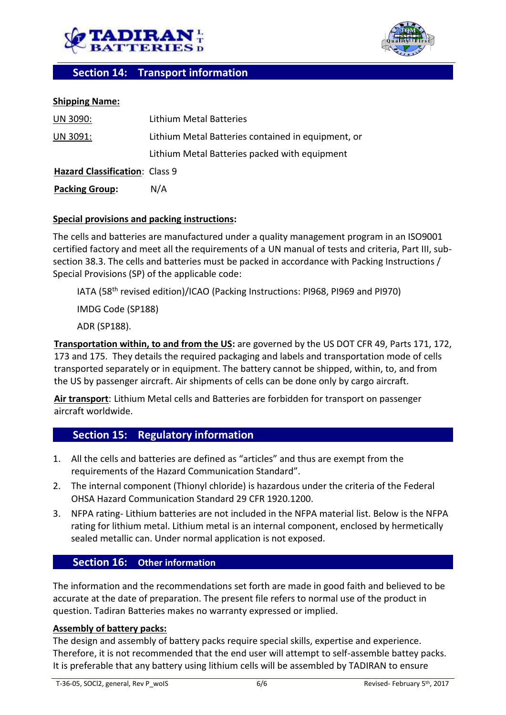



## **Section 14: Transport information**

### **Shipping Name:**

| UN 3090:                       | Lithium Metal Batteries                            |
|--------------------------------|----------------------------------------------------|
| UN 3091:                       | Lithium Metal Batteries contained in equipment, or |
|                                | Lithium Metal Batteries packed with equipment      |
| Hazard Classification: Class 9 |                                                    |
| <b>Packing Group:</b>          | N/A                                                |

### **Special provisions and packing instructions:**

The cells and batteries are manufactured under a quality management program in an ISO9001 certified factory and meet all the requirements of a UN manual of tests and criteria, Part III, subsection 38.3. The cells and batteries must be packed in accordance with Packing Instructions / Special Provisions (SP) of the applicable code:

IATA (58<sup>th</sup> revised edition)/ICAO (Packing Instructions: PI968, PI969 and PI970)

IMDG Code (SP188)

ADR (SP188).

**Transportation within, to and from the US:** are governed by the US DOT CFR 49, Parts 171, 172, 173 and 175. They details the required packaging and labels and transportation mode of cells transported separately or in equipment. The battery cannot be shipped, within, to, and from the US by passenger aircraft. Air shipments of cells can be done only by cargo aircraft.

**Air transport**: Lithium Metal cells and Batteries are forbidden for transport on passenger aircraft worldwide.

## **Section 15: Regulatory information**

- 1. All the cells and batteries are defined as "articles" and thus are exempt from the requirements of the Hazard Communication Standard".
- 2. The internal component (Thionyl chloride) is hazardous under the criteria of the Federal OHSA Hazard Communication Standard 29 CFR 1920.1200.
- 3. NFPA rating- Lithium batteries are not included in the NFPA material list. Below is the NFPA rating for lithium metal. Lithium metal is an internal component, enclosed by hermetically sealed metallic can. Under normal application is not exposed.

## **Section 16: Other information**

The information and the recommendations set forth are made in good faith and believed to be accurate at the date of preparation. The present file refers to normal use of the product in question. Tadiran Batteries makes no warranty expressed or implied.

#### **Assembly of battery packs:**

The design and assembly of battery packs require special skills, expertise and experience. Therefore, it is not recommended that the end user will attempt to self-assemble battey packs. It is preferable that any battery using lithium cells will be assembled by TADIRAN to ensure